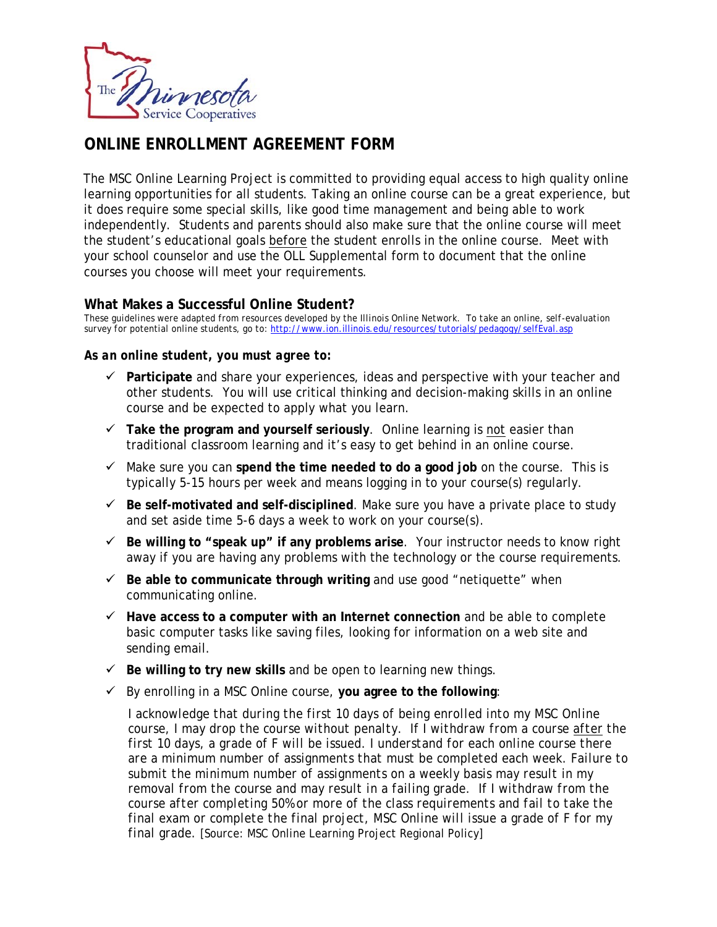

## **ONLINE ENROLLMENT AGREEMENT FORM**

The MSC Online Learning Project is committed to providing equal access to high quality online learning opportunities for all students. Taking an online course can be a great experience, but it does require some special skills, like good time management and being able to work independently. Students and parents should also make sure that the online course will meet the student's educational goals before the student enrolls in the online course. Meet with your school counselor and use the OLL Supplemental form to document that the online courses you choose will meet your requirements.

## **What Makes a Successful Online Student?**

*These guidelines were adapted from resources developed by the Illinois Online Network. To take an online, self-evaluation survey for potential online students, go to:* http://www.ion.illinois.edu/resources/tutorials/pedagogy/selfEval.asp

## *As an online student, you must agree to:*

- **Participate** and share your experiences, ideas and perspective with your teacher and other students. You will use critical thinking and decision-making skills in an online course and be expected to apply what you learn.
- **Take the program and yourself seriously**. Online learning is not easier than traditional classroom learning and it's easy to get behind in an online course.
- $\checkmark$  Make sure you can spend the time needed to do a good job on the course. This is typically 5-15 hours per week and means logging in to your course(s) regularly.
- $\checkmark$  Be self-motivated and self-disciplined. Make sure you have a private place to study and set aside time 5-6 days a week to work on your course(s).
- **Be willing to "speak up" if any problems arise**. Your instructor needs to know right away if you are having any problems with the technology or the course requirements.
- $\checkmark$  Be able to communicate through writing and use good "netiquette" when communicating online.
- **Have access to a computer with an Internet connection** and be able to complete basic computer tasks like saving files, looking for information on a web site and sending email.
- $\checkmark$  Be willing to try new skills and be open to learning new things.
- By enrolling in a MSC Online course, **you agree to the following**:

*I acknowledge that during the first 10 days of being enrolled into my MSC Online course, I may drop the course without penalty. If I withdraw from a course after the first 10 days, a grade of F will be issued. I understand for each online course there are a minimum number of assignments that must be completed each week. Failure to submit the minimum number of assignments on a weekly basis may result in my removal from the course and may result in a failing grade. If I withdraw from the course after completing 50% or more of the class requirements and fail to take the final exam or complete the final project, MSC Online will issue a grade of F for my final grade.* [Source: MSC Online Learning Project Regional Policy]